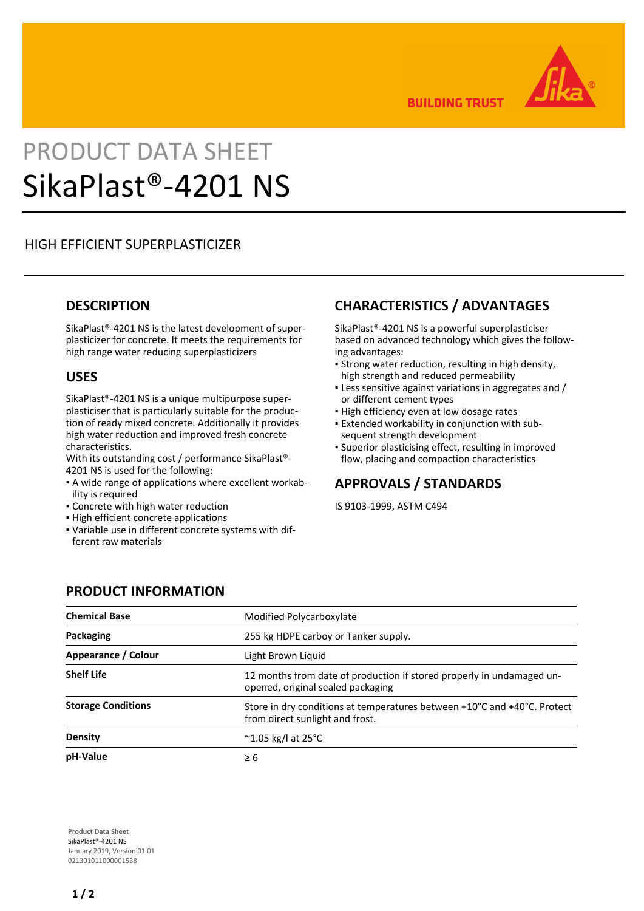

**BUILDING TRUST** 

# PRODUCT DATA SHEET SikaPlast®-4201 NS

## HIGH EFFICIENT SUPERPLASTICIZER

#### **DESCRIPTION**

SikaPlast®-4201 NS is the latest development of superplasticizer for concrete. It meets the requirements for high range water reducing superplasticizers

#### **USES**

SikaPlast®-4201 NS is a unique multipurpose superplasticiser that is particularly suitable for the production of ready mixed concrete. Additionally it provides high water reduction and improved fresh concrete characteristics.

With its outstanding cost / performance SikaPlast®- 4201 NS is used for the following:

- A wide range of applications where excellent workab-▪ ility is required
- **Concrete with high water reduction**
- **.** High efficient concrete applications
- Variable use in different concrete systems with dif-▪ ferent raw materials

## **CHARACTERISTICS / ADVANTAGES**

SikaPlast®-4201 NS is a powerful superplasticiser based on advanced technology which gives the following advantages:

- Strong water reduction, resulting in high density, high strength and reduced permeability
- **Example 3 Figgs:** Less sensitive against variations in aggregates and / or different cement types
- **.** High efficiency even at low dosage rates
- Extended workability in conjunction with sub-▪ sequent strength development
- Superior plasticising effect, resulting in improved flow, placing and compaction characteristics

#### **APPROVALS / STANDARDS**

IS 9103-1999, ASTM C494

#### **PRODUCT INFORMATION**

| <b>Chemical Base</b>      | Modified Polycarboxylate                                                                                    |
|---------------------------|-------------------------------------------------------------------------------------------------------------|
| Packaging                 | 255 kg HDPE carboy or Tanker supply.                                                                        |
| Appearance / Colour       | Light Brown Liquid                                                                                          |
| <b>Shelf Life</b>         | 12 months from date of production if stored properly in undamaged un-<br>opened, original sealed packaging  |
| <b>Storage Conditions</b> | Store in dry conditions at temperatures between +10°C and +40°C. Protect<br>from direct sunlight and frost. |
| Density                   | $\sim$ 1.05 kg/l at 25 $\degree$ C                                                                          |
| pH-Value                  | $\geq 6$                                                                                                    |

**Product Data Sheet** SikaPlast®-4201 NS January 2019, Version 01.01 021301011000001538